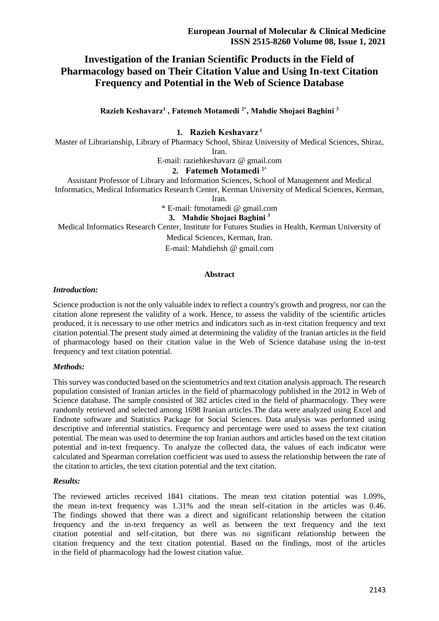# **Investigation of the Iranian Scientific Products in the Field of Pharmacology based on Their Citation Value and Using In-text Citation Frequency and Potential in the Web of Science Database**

**Razieh Keshavarz<sup>1</sup> , Fatemeh Motamedi 2\* , Mahdie Shojaei Baghini <sup>3</sup>**

### **1. Razieh Keshavarz <sup>1</sup>**

Master of Librarianship, Library of Pharmacy School, Shiraz University of Medical Sciences, Shiraz, Iran.

E-mail: raziehkeshavarz @ gmail.com

### **2. Fatemeh Motamedi 2\***

Assistant Professor of Library and Information Sciences, School of Management and Medical Informatics, Medical Informatics Research Center, Kerman University of Medical Sciences, Kerman,

Iran.

\* E-mail: ftmotamedi @ gmail.com

### **3. Mahdie Shojaei Baghini <sup>3</sup>**

Medical Informatics Research Center, Institute for Futures Studies in Health, Kerman University of

Medical Sciences, Kerman, Iran.

E-mail: Mahdiehsh @ gmail.com

### **Abstract**

#### *Introduction:*

Science production is not the only valuable index to reflect a country's growth and progress, nor can the citation alone represent the validity of a work. Hence, to assess the validity of the scientific articles produced, it is necessary to use other metrics and indicators such as in-text citation frequency and text citation potential.The present study aimed at determining the validity of the Iranian articles in the field of pharmacology based on their citation value in the Web of Science database using the in-text frequency and text citation potential.

### *Methods:*

This survey was conducted based on the scientometrics and text citation analysis approach. The research population consisted of Iranian articles in the field of pharmacology published in the 2012 in Web of Science database. The sample consisted of 382 articles cited in the field of pharmacology. They were randomly retrieved and selected among 1698 Iranian articles.The data were analyzed using Excel and Endnote software and Statistics Package for Social Sciences. Data analysis was performed using descriptive and inferential statistics. Frequency and percentage were used to assess the text citation potential. The mean was used to determine the top Iranian authors and articles based on the text citation potential and in-text frequency. To analyze the collected data, the values of each indicator were calculated and Spearman correlation coefficient was used to assess the relationship between the rate of the citation to articles, the text citation potential and the text citation.

### *Results:*

The reviewed articles received 1841 citations. The mean text citation potential was 1.09%, the mean in-text frequency was 1.31% and the mean self-citation in the articles was 0.46. The findings showed that there was a direct and significant relationship between the citation frequency and the in-text frequency as well as between the text frequency and the text citation potential and self-citation, but there was no significant relationship between the citation frequency and the text citation potential. Based on the findings, most of the articles in the field of pharmacology had the lowest citation value.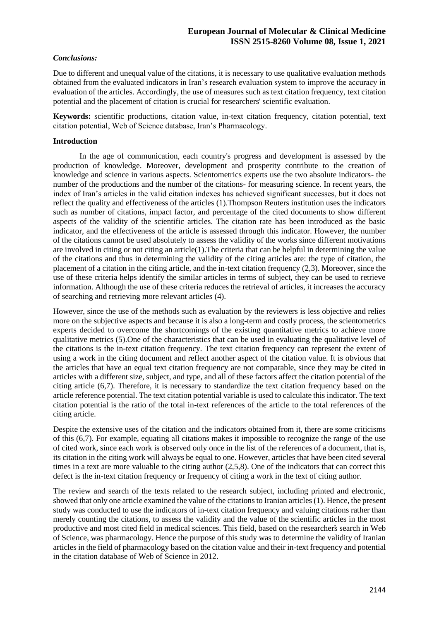### *Conclusions:*

Due to different and unequal value of the citations, it is necessary to use qualitative evaluation methods obtained from the evaluated indicators in Iran's research evaluation system to improve the accuracy in evaluation of the articles. Accordingly, the use of measures such as text citation frequency, text citation potential and the placement of citation is crucial for researchers' scientific evaluation.

**Keywords:** scientific productions, citation value, in-text citation frequency, citation potential, text citation potential, Web of Science database, Iran's Pharmacology.

### **Introduction**

 In the age of communication, each country's progress and development is assessed by the production of knowledge. Moreover, development and prosperity contribute to the creation of knowledge and science in various aspects. Scientometrics experts use the two absolute indicators- the number of the productions and the number of the citations- for measuring science. In recent years, the index of Iran's articles in the valid citation indexes has achieved significant successes, but it does not reflect the quality and effectiveness of the articles (1) .Thompson Reuters institution uses the indicators such as number of citations, impact factor, and percentage of the cited documents to show different aspects of the validity of the scientific articles. The citation rate has been introduced as the basic indicator, and the effectiveness of the article is assessed through this indicator. However, the number of the citations cannot be used absolutely to assess the validity of the works since different motivations are involved in citing or not citing an article(1).The criteria that can be helpful in determining the value of the citations and thus in determining the validity of the citing articles are: the type of citation, the placement of a citation in the citing article, and the in-text citation frequency (2,3). Moreover, since the use of these criteria helps identify the similar articles in terms of subject, they can be used to retrieve information. Although the use of these criteria reduces the retrieval of articles, it increases the accuracy of searching and retrieving more relevant articles (4).

However, since the use of the methods such as evaluation by the reviewers is less objective and relies more on the subjective aspects and because it is also a long-term and costly process, the scientometrics experts decided to overcome the shortcomings of the existing quantitative metrics to achieve more qualitative metrics (5).One of the characteristics that can be used in evaluating the qualitative level of the citations is the in-text citation frequency. The text citation frequency can represent the extent of using a work in the citing document and reflect another aspect of the citation value. It is obvious that the articles that have an equal text citation frequency are not comparable, since they may be cited in articles with a different size, subject, and type, and all of these factors affect the citation potential of the citing article (6,7). Therefore, it is necessary to standardize the text citation frequency based on the article reference potential. The text citation potential variable is used to calculate this indicator. The text citation potential is the ratio of the total in-text references of the article to the total references of the citing article.

Despite the extensive uses of the citation and the indicators obtained from it, there are some criticisms of this (6,7). For example, equating all citations makes it impossible to recognize the range of the use of cited work, since each work is observed only once in the list of the references of a document, that is, its citation in the citing work will always be equal to one. However, articles that have been cited several times in a text are more valuable to the citing author  $(2,5,8)$ . One of the indicators that can correct this defect is the in-text citation frequency or frequency of citing a work in the text of citing author .

The review and search of the texts related to the research subject, including printed and electronic, showed that only one article examined the value of the citations to Iranian articles (1). Hence, the present study was conducted to use the indicators of in-text citation frequency and valuing citations rather than merely counting the citations, to assess the validity and the value of the scientific articles in the most productive and most cited field in medical sciences. This field, based on the researcher̕̕s search in Web of Science, was pharmacology. Hence the purpose of this study was to determine the validity of Iranian articles in the field of pharmacology based on the citation value and their in-text frequency and potential in the citation database of Web of Science in 2012.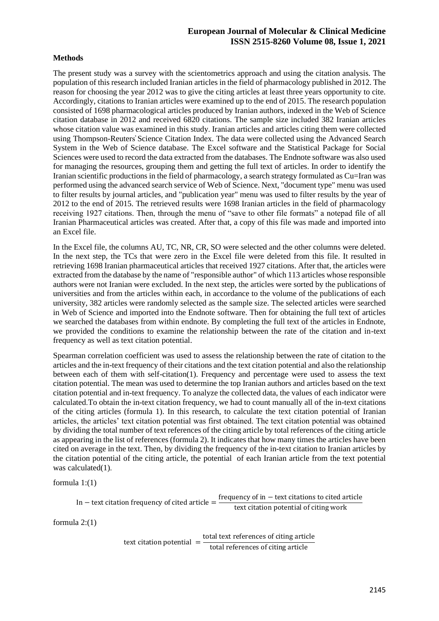### **Methods**

The present study was a survey with the scientometrics approach and using the citation analysis. The population of this research included Iranian articles in the field of pharmacology published in 2012. The reason for choosing the year 2012 was to give the citing articles at least three years opportunity to cite. Accordingly, citations to Iranian articles were examined up to the end of 2015. The research population consisted of 1698 pharmacological articles produced by Iranian authors, indexed in the Web of Science citation database in 2012 and received 6820 citations. The sample size included 382 Iranian articles whose citation value was examined in this study . Iranian articles and articles citing them were collected using Thompson-Reuters̕̕ Science Citation Index. The data were collected using the Advanced Search System in the Web of Science database. The Excel software and the Statistical Package for Social Sciences were used to record the data extracted from the databases. The Endnote software was also used for managing the resources, grouping them and getting the full text of articles. In order to identify the Iranian scientific productions in the field of pharmacology, a search strategy formulated as Cu=Iran was performed using the advanced search service of Web of Science. Next, "document type" menu was used to filter results by journal articles, and "publication year" menu was used to filter results by the year of 2012 to the end of 2015. The retrieved results were 1698 Iranian articles in the field of pharmacology receiving 1927 citations. Then, through the menu of "save to other file formats" a notepad file of all Iranian Pharmaceutical articles was created. After that, a copy of this file was made and imported into an Excel file.

In the Excel file, the columns AU, TC, NR, CR, SO were selected and the other columns were deleted. In the next step, the TCs that were zero in the Excel file were deleted from this file. It resulted in retrieving 1698 Iranian pharmaceutical articles that received 1927 citations. After that, the articles were extracted from the database by the name of "responsible author" of which 113 articles whose responsible authors were not Iranian were excluded. In the next step, the articles were sorted by the publications of universities and from the articles within each, in accordance to the volume of the publications of each university, 382 articles were randomly selected as the sample size. The selected articles were searched in Web of Science and imported into the Endnote software. Then for obtaining the full text of articles we searched the databases from within endnote. By completing the full text of the articles in Endnote, we provided the conditions to examine the relationship between the rate of the citation and in-text frequency as well as text citation potential.

Spearman correlation coefficient was used to assess the relationship between the rate of citation to the articles and the in-text frequency of their citations and the text citation potential and also the relationship between each of them with self-citation(1). Frequency and percentage were used to assess the text citation potential. The mean was used to determine the top Iranian authors and articles based on the text citation potential and in-text frequency. To analyze the collected data, the values of each indicator were calculated.To obtain the in-text citation frequency, we had to count manually all of the in-text citations of the citing articles (formula 1). In this research, to calculate the text citation potential of Iranian articles, the articles' text citation potential was first obtained. The text citation potential was obtained by dividing the total number of text references of the citing article by total references of the citing article as appearing in the list of references (formula 2). It indicates that how many times the articles have been cited on average in the text. Then, by dividing the frequency of the in-text citation to Iranian articles by the citation potential of the citing article, the potential of each Iranian article from the text potential was calculated(1).

formula 1:(1)

In – text citation frequency of cited article = 
$$
\frac{\text{frequency of in – text citations to cited article}}{\text{text citation potential of citing work}}
$$

formula 2:(1)

text citation potential  $=$  total text references of citing article total references of citing article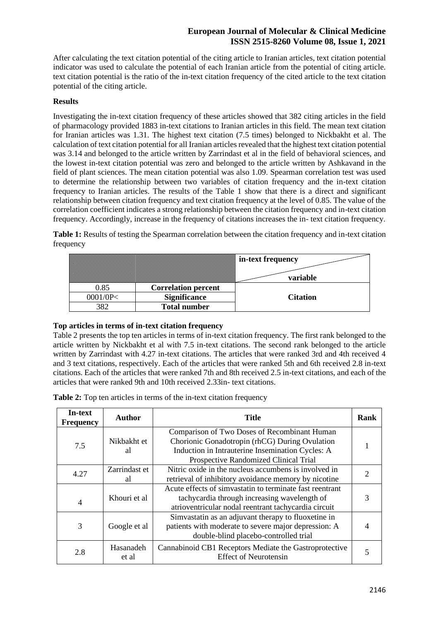After calculating the text citation potential of the citing article to Iranian articles, text citation potential indicator was used to calculate the potential of each Iranian article from the potential of citing article. text citation potential is the ratio of the in-text citation frequency of the cited article to the text citation potential of the citing article.

### **Results**

Investigating the in-text citation frequency of these articles showed that 382 citing articles in the field of pharmacology provided 1883 in-text citations to Iranian articles in this field. The mean text citation for Iranian articles was 1.31. The highest text citation (7.5 times) belonged to Nickbakht et al. The calculation of text citation potential for all Iranian articles revealed that the highest text citation potential was 3.14 and belonged to the article written by Zarrindast et al in the field of behavioral sciences, and the lowest in-text citation potential was zero and belonged to the article written by Ashkavand in the field of plant sciences. The mean citation potential was also 1.09. Spearman correlation test was used to determine the relationship between two variables of citation frequency and the in-text citation frequency to Iranian articles. The results of the Table 1 show that there is a direct and significant relationship between citation frequency and text citation frequency at the level of 0.85. The value of the correlation coefficient indicates a strong relationship between the citation frequency and in-text citation frequency. Accordingly, increase in the frequency of citations increases the in- text citation frequency .

**Table 1:** Results of testing the Spearman correlation between the citation frequency and in-text citation frequency

|                                                                                                                                                                                                                                      | in-text frequency |
|--------------------------------------------------------------------------------------------------------------------------------------------------------------------------------------------------------------------------------------|-------------------|
| <u> Tantan di Kabupatén Bandung Bandung Bandung Bandung Bandung Bandung Bandung Bandung Bandung Bandung Bandung Bandung Bandung Bandung Bandung Bandung Bandung Bandung Bandung Bandung Bandung Bandung Bandung Bandung Bandung </u> | variable          |
| <b>Correlation percent</b>                                                                                                                                                                                                           |                   |
| <b>Significance</b>                                                                                                                                                                                                                  | <b>Citation</b>   |
| <b>Total number</b>                                                                                                                                                                                                                  |                   |

### **Top articles in terms of in-text citation frequency**

Table 2 presents the top ten articles in terms of in-text citation frequency. The first rank belonged to the article written by Nickbakht et al with 7.5 in-text citations. The second rank belonged to the article written by Zarrindast with 4.27 in-text citations. The articles that were ranked 3rd and 4th received 4 and 3 text citations, respectively. Each of the articles that were ranked 5th and 6th received 2.8 in-text citations. Each of the articles that were ranked 7th and 8th received 2.5 in-text citations, and each of the articles that were ranked 9th and 10th received 2.33in- text citations.

**Table 2:** Top ten articles in terms of the in-text citation frequency

| In-text<br><b>Frequency</b> | Author              | <b>Title</b>                                                                                                                                                                                | Rank                        |
|-----------------------------|---------------------|---------------------------------------------------------------------------------------------------------------------------------------------------------------------------------------------|-----------------------------|
| 7.5                         | Nikbakht et<br>al   | Comparison of Two Doses of Recombinant Human<br>Chorionic Gonadotropin (rhCG) During Ovulation<br>Induction in Intrauterine Insemination Cycles: A<br>Prospective Randomized Clinical Trial |                             |
| 4.27                        | Zarrindast et<br>al | Nitric oxide in the nucleus accumbens is involved in<br>retrieval of inhibitory avoidance memory by nicotine                                                                                | $\mathcal{D}_{\mathcal{A}}$ |
| 4                           | Khouri et al        | Acute effects of simvastatin to terminate fast reentrant<br>tachycardia through increasing wavelength of<br>atrioventricular nodal reentrant tachycardia circuit                            |                             |
| 3                           | Google et al        | Simvastatin as an adjuvant therapy to fluoxetine in<br>patients with moderate to severe major depression: A<br>double-blind placebo-controlled trial                                        |                             |
| 2.8                         | Hasanadeh<br>et al  | Cannabinoid CB1 Receptors Mediate the Gastroprotective<br><b>Effect of Neurotensin</b>                                                                                                      |                             |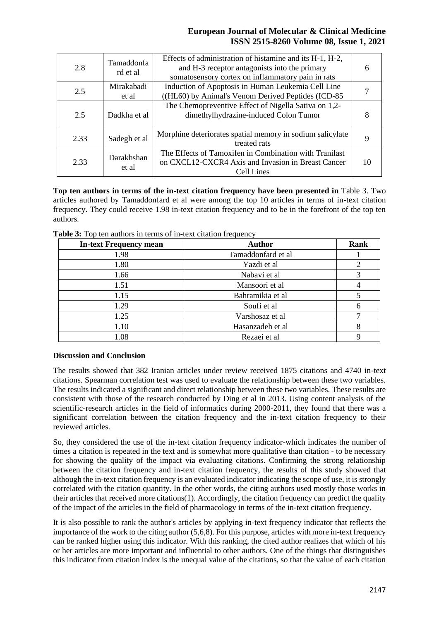| 2.8  | Tamaddonfa<br>rd et al | Effects of administration of histamine and its H-1, H-2,<br>and H-3 receptor antagonists into the primary<br>somatosensory cortex on inflammatory pain in rats |  |
|------|------------------------|----------------------------------------------------------------------------------------------------------------------------------------------------------------|--|
| 2.5  | Mirakabadi<br>et al    | Induction of Apoptosis in Human Leukemia Cell Line<br>((HL60) by Animal's Venom Derived Peptides (ICD-85                                                       |  |
| 2.5  | Dadkha et al           | The Chemopreventive Effect of Nigella Sativa on 1,2-<br>dimethylhydrazine-induced Colon Tumor                                                                  |  |
| 2.33 | Sadegh et al           | Morphine deteriorates spatial memory in sodium salicylate<br>treated rats                                                                                      |  |
| 2.33 | Darakhshan<br>et al    | The Effects of Tamoxifen in Combination with Tranilast<br>on CXCL12-CXCR4 Axis and Invasion in Breast Cancer<br>Cell Lines                                     |  |

Top ten authors in terms of the in-text citation frequency have been presented in Table 3. Two articles authored by Tamaddonfard et al were among the top 10 articles in terms of in-text citation frequency. They could receive 1.98 in-text citation frequency and to be in the forefront of the top ten authors .

| <b>In-text Frequency mean</b> | <b>Author</b>      | <b>Rank</b> |
|-------------------------------|--------------------|-------------|
| 1.98                          | Tamaddonfard et al |             |
| 1.80                          | Yazdi et al        |             |
| 1.66                          | Nabavi et al       |             |
| 1.51                          | Mansoori et al     |             |
| 1.15                          | Bahramikia et al   |             |
| 1.29                          | Soufi et al        |             |
| 1.25                          | Varshosaz et al    |             |
| 1.10                          | Hasanzadeh et al   |             |
| 1.08                          | Rezaei et al       |             |

**Table 3:** Top ten authors in terms of in-text citation frequency

### **Discussion and Conclusion**

The results showed that 382 Iranian articles under review received 1875 citations and 4740 in-text citations. Spearman correlation test was used to evaluate the relationship between these two variables. The results indicated a significant and direct relationship between these two variables. These results are consistent with those of the research conducted by Ding et al in 2013. Using content analysis of the scientific-research articles in the field of informatics during 2000-2011, they found that there was a significant correlation between the citation frequency and the in-text citation frequency to their reviewed articles.

So, they considered the use of the in-text citation frequency indicator-which indicates the number of times a citation is repeated in the text and is somewhat more qualitative than citation - to be necessary for showing the quality of the impact via evaluating citations. Confirming the strong relationship between the citation frequency and in-text citation frequency, the results of this study showed that although the in-text citation frequency is an evaluated indicator indicating the scope of use, it is strongly correlated with the citation quantity. In the other words, the citing authors used mostly those works in their articles that received more citations(1). Accordingly, the citation frequency can predict the quality of the impact of the articles in the field of pharmacology in terms of the in-text citation frequency .

It is also possible to rank the author's articles by applying in-text frequency indicator that reflects the importance of the work to the citing author (5,6,8). For this purpose, articles with more in-text frequency can be ranked higher using this indicator. With this ranking, the cited author realizes that which of his or her articles are more important and influential to other authors. One of the things that distinguishes this indicator from citation index is the unequal value of the citations, so that the value of each citation